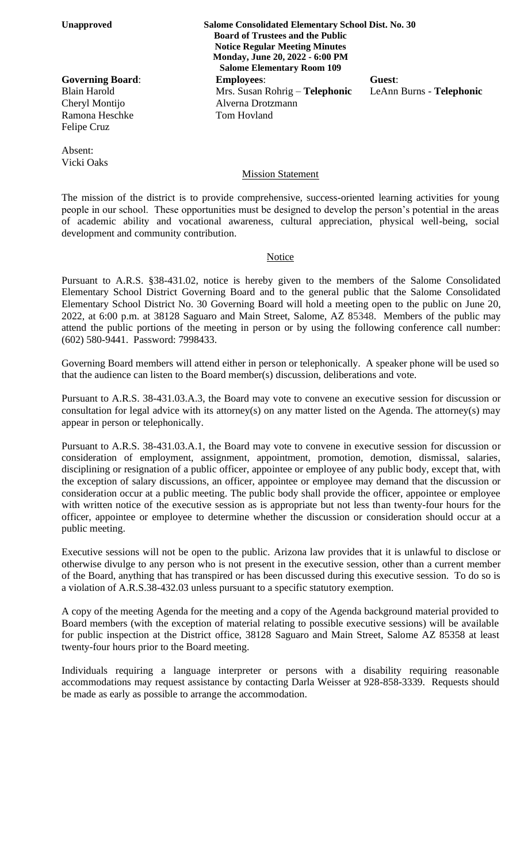Ramona Heschke Tom Hovland Felipe Cruz

Absent: Vicki Oaks

**Unapproved Salome Consolidated Elementary School Dist. No. 30 Board of Trustees and the Public Notice Regular Meeting Minutes Monday, June 20, 2022 - 6:00 PM Salome Elementary Room 109 Governing Board**: **Employees**: **Guest**: Blain Harold Mrs. Susan Rohrig – **Telephonic** LeAnn Burns - **Telephonic** Cheryl Montijo Alverna Drotzmann

## Mission Statement

The mission of the district is to provide comprehensive, success-oriented learning activities for young people in our school. These opportunities must be designed to develop the person's potential in the areas of academic ability and vocational awareness, cultural appreciation, physical well-being, social development and community contribution.

## Notice

Pursuant to A.R.S. §38-431.02, notice is hereby given to the members of the Salome Consolidated Elementary School District Governing Board and to the general public that the Salome Consolidated Elementary School District No. 30 Governing Board will hold a meeting open to the public on June 20, 2022, at 6:00 p.m. at 38128 Saguaro and Main Street, Salome, AZ 85348. Members of the public may attend the public portions of the meeting in person or by using the following conference call number: (602) 580-9441. Password: 7998433.

Governing Board members will attend either in person or telephonically. A speaker phone will be used so that the audience can listen to the Board member(s) discussion, deliberations and vote.

Pursuant to A.R.S. 38-431.03.A.3, the Board may vote to convene an executive session for discussion or consultation for legal advice with its attorney(s) on any matter listed on the Agenda. The attorney(s) may appear in person or telephonically.

Pursuant to A.R.S. 38-431.03.A.1, the Board may vote to convene in executive session for discussion or consideration of employment, assignment, appointment, promotion, demotion, dismissal, salaries, disciplining or resignation of a public officer, appointee or employee of any public body, except that, with the exception of salary discussions, an officer, appointee or employee may demand that the discussion or consideration occur at a public meeting. The public body shall provide the officer, appointee or employee with written notice of the executive session as is appropriate but not less than twenty-four hours for the officer, appointee or employee to determine whether the discussion or consideration should occur at a public meeting.

Executive sessions will not be open to the public. Arizona law provides that it is unlawful to disclose or otherwise divulge to any person who is not present in the executive session, other than a current member of the Board, anything that has transpired or has been discussed during this executive session. To do so is a violation of A.R.S.38-432.03 unless pursuant to a specific statutory exemption.

A copy of the meeting Agenda for the meeting and a copy of the Agenda background material provided to Board members (with the exception of material relating to possible executive sessions) will be available for public inspection at the District office, 38128 Saguaro and Main Street, Salome AZ 85358 at least twenty-four hours prior to the Board meeting.

Individuals requiring a language interpreter or persons with a disability requiring reasonable accommodations may request assistance by contacting Darla Weisser at 928-858-3339. Requests should be made as early as possible to arrange the accommodation.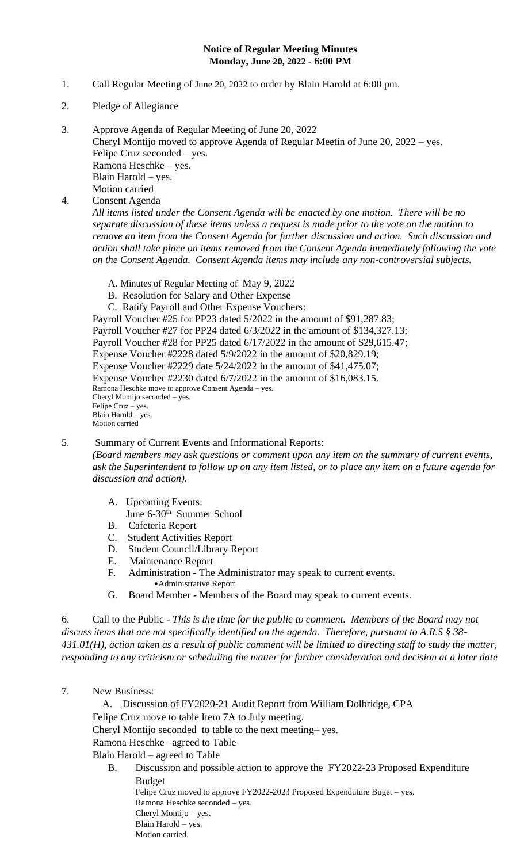## **Notice of Regular Meeting Minutes Monday, June 20, 2022 - 6:00 PM**

- 1. Call Regular Meeting of June 20, 2022 to order by Blain Harold at 6:00 pm.
- 2. Pledge of Allegiance
- 3. Approve Agenda of Regular Meeting of June 20, 2022 Cheryl Montijo moved to approve Agenda of Regular Meetin of June 20, 2022 – yes. Felipe Cruz seconded – yes. Ramona Heschke – yes. Blain Harold – yes. Motion carried

4. Consent Agenda

*All items listed under the Consent Agenda will be enacted by one motion. There will be no separate discussion of these items unless a request is made prior to the vote on the motion to remove an item from the Consent Agenda for further discussion and action. Such discussion and action shall take place on items removed from the Consent Agenda immediately following the vote on the Consent Agenda. Consent Agenda items may include any non-controversial subjects.*

- A. Minutes of Regular Meeting of May 9, 2022
- B. Resolution for Salary and Other Expense
- C. Ratify Payroll and Other Expense Vouchers:

Payroll Voucher #25 for PP23 dated 5/2022 in the amount of \$91,287.83; Payroll Voucher #27 for PP24 dated 6/3/2022 in the amount of \$134,327.13; Payroll Voucher #28 for PP25 dated 6/17/2022 in the amount of \$29,615.47; Expense Voucher #2228 dated 5/9/2022 in the amount of \$20,829.19; Expense Voucher #2229 date 5/24/2022 in the amount of \$41,475.07; Expense Voucher #2230 dated 6/7/2022 in the amount of \$16,083.15. Ramona Heschke move to approve Consent Agenda – yes. Cheryl Montijo seconded – yes. Felipe Cruz – yes. Blain Harold – yes. Motion carried

## 5. Summary of Current Events and Informational Reports:

*(Board members may ask questions or comment upon any item on the summary of current events, ask the Superintendent to follow up on any item listed, or to place any item on a future agenda for discussion and action).*

- A. Upcoming Events:
- June 6-30<sup>th</sup> Summer School
- B. Cafeteria Report
- C. Student Activities Report
- D. Student Council/Library Report
- E. Maintenance Report
- F. Administration The Administrator may speak to current events. •Administrative Report
- G. Board Member Members of the Board may speak to current events.

6. Call to the Public - *This is the time for the public to comment. Members of the Board may not discuss items that are not specifically identified on the agenda. Therefore, pursuant to A.R.S § 38- 431.01(H), action taken as a result of public comment will be limited to directing staff to study the matter, responding to any criticism or scheduling the matter for further consideration and decision at a later date*

7. New Business:

 A. Discussion of FY2020-21 Audit Report from William Dolbridge, CPA Felipe Cruz move to table Item 7A to July meeting. Cheryl Montijo seconded to table to the next meeting– yes. Ramona Heschke –agreed to Table Blain Harold – agreed to Table B. Discussion and possible action to approve the FY2022-23 Proposed Expenditure Budget

Felipe Cruz moved to approve FY2022-2023 Proposed Expenduture Buget – yes. Ramona Heschke seconded – yes. Cheryl Montijo – yes. Blain Harold – yes. Motion carried.